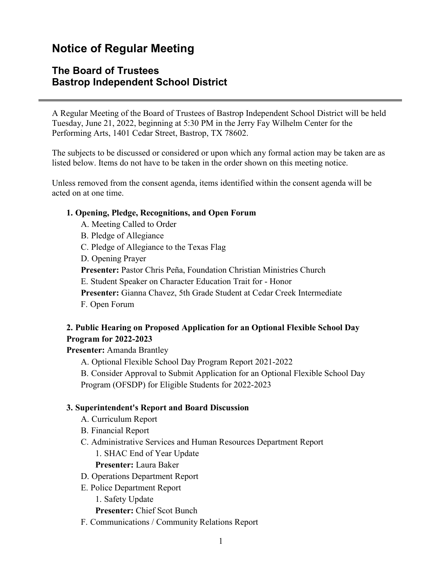# **Notice of Regular Meeting**

### **The Board of Trustees Bastrop Independent School District**

A Regular Meeting of the Board of Trustees of Bastrop Independent School District will be held Tuesday, June 21, 2022, beginning at 5:30 PM in the Jerry Fay Wilhelm Center for the Performing Arts, 1401 Cedar Street, Bastrop, TX 78602.

The subjects to be discussed or considered or upon which any formal action may be taken are as listed below. Items do not have to be taken in the order shown on this meeting notice.

Unless removed from the consent agenda, items identified within the consent agenda will be acted on at one time.

#### **1. Opening, Pledge, Recognitions, and Open Forum**

- A. Meeting Called to Order
- B. Pledge of Allegiance
- C. Pledge of Allegiance to the Texas Flag
- D. Opening Prayer

**Presenter:** Pastor Chris Peña, Foundation Christian Ministries Church

E. Student Speaker on Character Education Trait for - Honor

- **Presenter:** Gianna Chavez, 5th Grade Student at Cedar Creek Intermediate
- F. Open Forum

### **2. Public Hearing on Proposed Application for an Optional Flexible School Day Program for 2022-2023**

**Presenter:** Amanda Brantley

A. Optional Flexible School Day Program Report 2021-2022

B. Consider Approval to Submit Application for an Optional Flexible School Day Program (OFSDP) for Eligible Students for 2022-2023

#### **3. Superintendent's Report and Board Discussion**

- A. Curriculum Report
- B. Financial Report
- C. Administrative Services and Human Resources Department Report

1. SHAC End of Year Update

**Presenter:** Laura Baker

- D. Operations Department Report
- E. Police Department Report
	- 1. Safety Update

**Presenter:** Chief Scot Bunch

F. Communications / Community Relations Report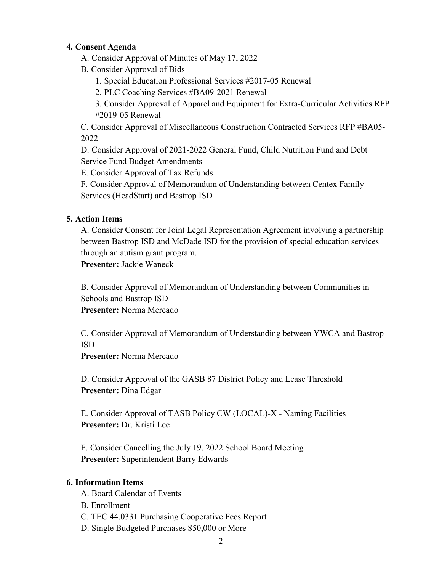#### **4. Consent Agenda**

- A. Consider Approval of Minutes of May 17, 2022
- B. Consider Approval of Bids
	- 1. Special Education Professional Services #2017-05 Renewal
	- 2. PLC Coaching Services #BA09-2021 Renewal
	- 3. Consider Approval of Apparel and Equipment for Extra-Curricular Activities RFP #2019-05 Renewal

C. Consider Approval of Miscellaneous Construction Contracted Services RFP #BA05- 2022

D. Consider Approval of 2021-2022 General Fund, Child Nutrition Fund and Debt Service Fund Budget Amendments

E. Consider Approval of Tax Refunds

F. Consider Approval of Memorandum of Understanding between Centex Family Services (HeadStart) and Bastrop ISD

### **5. Action Items**

A. Consider Consent for Joint Legal Representation Agreement involving a partnership between Bastrop ISD and McDade ISD for the provision of special education services through an autism grant program.

**Presenter:** Jackie Waneck

B. Consider Approval of Memorandum of Understanding between Communities in Schools and Bastrop ISD **Presenter:** Norma Mercado

C. Consider Approval of Memorandum of Understanding between YWCA and Bastrop ISD

**Presenter:** Norma Mercado

D. Consider Approval of the GASB 87 District Policy and Lease Threshold **Presenter:** Dina Edgar

E. Consider Approval of TASB Policy CW (LOCAL)-X - Naming Facilities **Presenter:** Dr. Kristi Lee

F. Consider Cancelling the July 19, 2022 School Board Meeting **Presenter:** Superintendent Barry Edwards

#### **6. Information Items**

- A. Board Calendar of Events
- B. Enrollment
- C. TEC 44.0331 Purchasing Cooperative Fees Report
- D. Single Budgeted Purchases \$50,000 or More